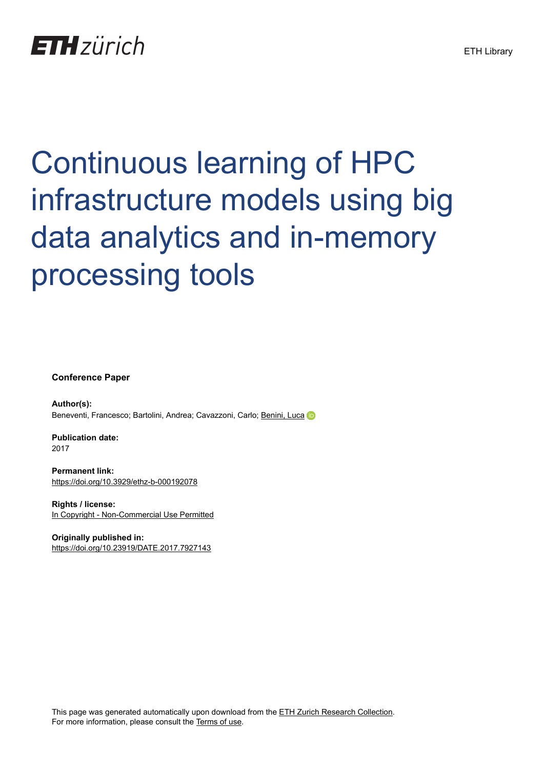## **ETH** zürich

# Continuous learning of HPC infrastructure models using big data analytics and in-memory processing tools

**Conference Paper**

**Author(s):** Beneventi, Francesco; Bartolini, Andrea; Cavazzoni, Carlo; [Benini, Luca](https://orcid.org/0000-0001-8068-3806)

**Publication date:** 2017

**Permanent link:** <https://doi.org/10.3929/ethz-b-000192078>

**Rights / license:** [In Copyright - Non-Commercial Use Permitted](http://rightsstatements.org/page/InC-NC/1.0/)

**Originally published in:** <https://doi.org/10.23919/DATE.2017.7927143>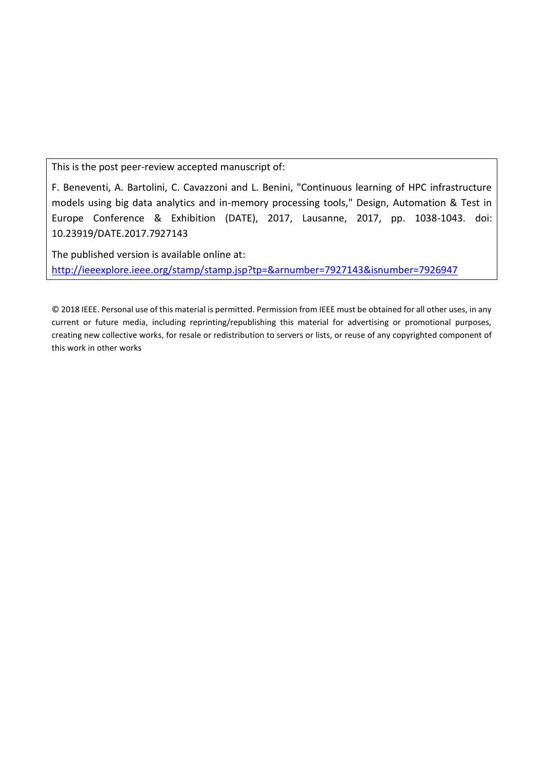This is the post peer-review accepted manuscript of:

F. Beneventi, A. Bartolini, C. Cavazzoni and L. Benini, "Continuous learning of HPC infrastructure models using big data analytics and in-memory processing tools," Design, Automation & Test in Europe Conference & Exhibition (DATE), 2017, Lausanne, 2017, pp. 1038-1043. doi: 10.23919/DATE.2017.7927143

The published version is available online at: <http://ieeexplore.ieee.org/stamp/stamp.jsp?tp=&arnumber=7927143&isnumber=7926947>

© 2018 IEEE. Personal use of this material is permitted. Permission from IEEE must be obtained for all other uses, in any current or future media, including reprinting/republishing this material for advertising or promotional purposes, creating new collective works, for resale or redistribution to servers or lists, or reuse of any copyrighted component of this work in other works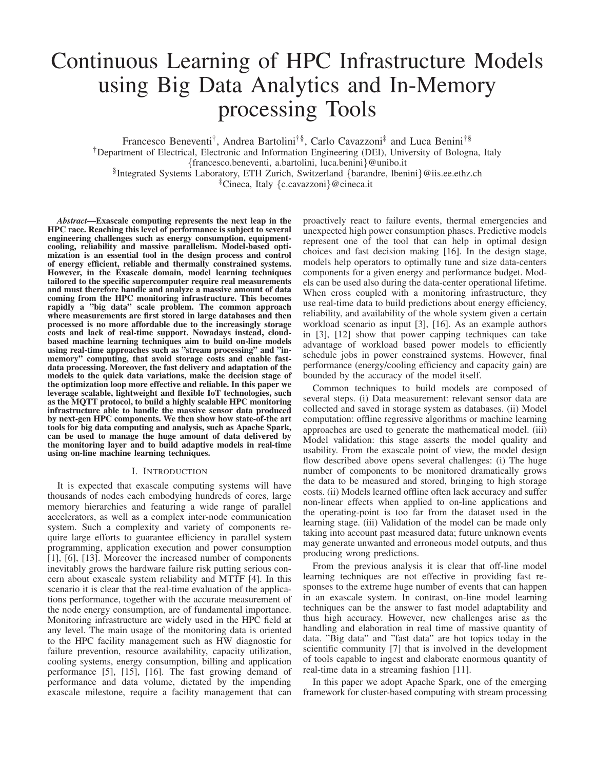### Continuous Learning of HPC Infrastructure Models using Big Data Analytics and In-Memory processing Tools

Francesco Beneventi† , Andrea Bartolini†§, Carlo Cavazzoni‡ and Luca Benini†§ †Department of Electrical, Electronic and Information Engineering (DEI), University of Bologna, Italy {francesco.beneventi, a.bartolini, luca.benini}@unibo.it § Integrated Systems Laboratory, ETH Zurich, Switzerland {barandre, lbenini}@iis.ee.ethz.ch ‡Cineca, Italy {c.cavazzoni}@cineca.it

*Abstract*—Exascale computing represents the next leap in the HPC race. Reaching this level of performance is subject to several engineering challenges such as energy consumption, equipmentcooling, reliability and massive parallelism. Model-based optimization is an essential tool in the design process and control of energy efficient, reliable and thermally constrained systems. However, in the Exascale domain, model learning techniques tailored to the specific supercomputer require real measurements and must therefore handle and analyze a massive amount of data coming from the HPC monitoring infrastructure. This becomes rapidly a "big data" scale problem. The common approach where measurements are first stored in large databases and then processed is no more affordable due to the increasingly storage costs and lack of real-time support. Nowadays instead, cloudbased machine learning techniques aim to build on-line models using real-time approaches such as "stream processing" and "inmemory" computing, that avoid storage costs and enable fastdata processing. Moreover, the fast delivery and adaptation of the models to the quick data variations, make the decision stage of the optimization loop more effective and reliable. In this paper we leverage scalable, lightweight and flexible IoT technologies, such as the MQTT protocol, to build a highly scalable HPC monitoring infrastructure able to handle the massive sensor data produced by next-gen HPC components. We then show how state-of-the art tools for big data computing and analysis, such as Apache Spark, can be used to manage the huge amount of data delivered by the monitoring layer and to build adaptive models in real-time using on-line machine learning techniques.

#### I. INTRODUCTION

It is expected that exascale computing systems will have thousands of nodes each embodying hundreds of cores, large memory hierarchies and featuring a wide range of parallel accelerators, as well as a complex inter-node communication system. Such a complexity and variety of components require large efforts to guarantee efficiency in parallel system programming, application execution and power consumption [1], [6], [13]. Moreover the increased number of components inevitably grows the hardware failure risk putting serious concern about exascale system reliability and MTTF [4]. In this scenario it is clear that the real-time evaluation of the applications performance, together with the accurate measurement of the node energy consumption, are of fundamental importance. Monitoring infrastructure are widely used in the HPC field at any level. The main usage of the monitoring data is oriented to the HPC facility management such as HW diagnostic for failure prevention, resource availability, capacity utilization, cooling systems, energy consumption, billing and application performance [5], [15], [16]. The fast growing demand of performance and data volume, dictated by the impending exascale milestone, require a facility management that can

proactively react to failure events, thermal emergencies and unexpected high power consumption phases. Predictive models represent one of the tool that can help in optimal design choices and fast decision making [16]. In the design stage, models help operators to optimally tune and size data-centers components for a given energy and performance budget. Models can be used also during the data-center operational lifetime. When cross coupled with a monitoring infrastructure, they use real-time data to build predictions about energy efficiency, reliability, and availability of the whole system given a certain workload scenario as input [3], [16]. As an example authors in [3], [12] show that power capping techniques can take advantage of workload based power models to efficiently schedule jobs in power constrained systems. However, final performance (energy/cooling efficiency and capacity gain) are bounded by the accuracy of the model itself.

Common techniques to build models are composed of several steps. (i) Data measurement: relevant sensor data are collected and saved in storage system as databases. (ii) Model computation: offline regressive algorithms or machine learning approaches are used to generate the mathematical model. (iii) Model validation: this stage asserts the model quality and usability. From the exascale point of view, the model design flow described above opens several challenges: (i) The huge number of components to be monitored dramatically grows the data to be measured and stored, bringing to high storage costs. (ii) Models learned offline often lack accuracy and suffer non-linear effects when applied to on-line applications and the operating-point is too far from the dataset used in the learning stage. (iii) Validation of the model can be made only taking into account past measured data; future unknown events may generate unwanted and erroneous model outputs, and thus producing wrong predictions.

From the previous analysis it is clear that off-line model learning techniques are not effective in providing fast responses to the extreme huge number of events that can happen in an exascale system. In contrast, on-line model learning techniques can be the answer to fast model adaptability and thus high accuracy. However, new challenges arise as the handling and elaboration in real time of massive quantity of data. "Big data" and "fast data" are hot topics today in the scientific community [7] that is involved in the development of tools capable to ingest and elaborate enormous quantity of real-time data in a streaming fashion [11].

In this paper we adopt Apache Spark, one of the emerging framework for cluster-based computing with stream processing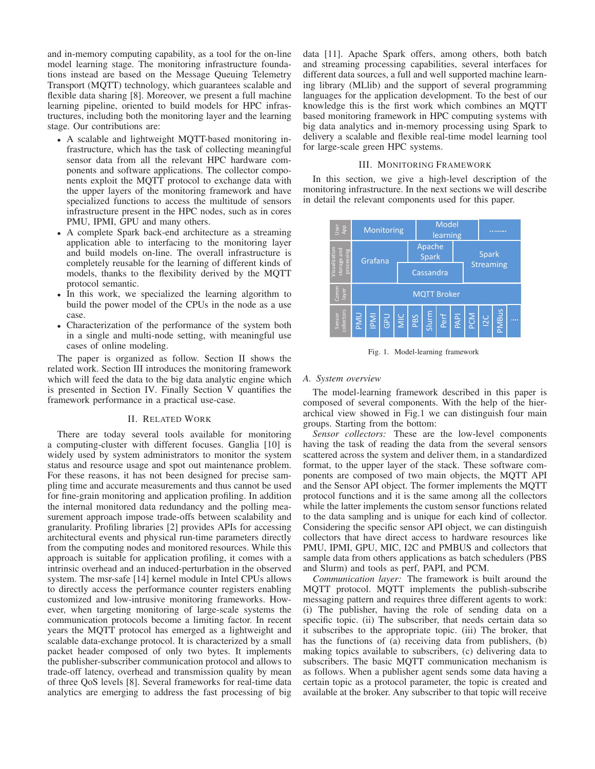and in-memory computing capability, as a tool for the on-line model learning stage. The monitoring infrastructure foundations instead are based on the Message Queuing Telemetry Transport (MQTT) technology, which guarantees scalable and flexible data sharing [8]. Moreover, we present a full machine learning pipeline, oriented to build models for HPC infrastructures, including both the monitoring layer and the learning stage. Our contributions are:

- A scalable and lightweight MQTT-based monitoring infrastructure, which has the task of collecting meaningful sensor data from all the relevant HPC hardware components and software applications. The collector components exploit the MQTT protocol to exchange data with the upper layers of the monitoring framework and have specialized functions to access the multitude of sensors infrastructure present in the HPC nodes, such as in cores PMU, IPMI, GPU and many others.
- A complete Spark back-end architecture as a streaming application able to interfacing to the monitoring layer and build models on-line. The overall infrastructure is completely reusable for the learning of different kinds of models, thanks to the flexibility derived by the MQTT protocol semantic.
- In this work, we specialized the learning algorithm to build the power model of the CPUs in the node as a use case.
- Characterization of the performance of the system both in a single and multi-node setting, with meaningful use cases of online modeling.

The paper is organized as follow. Section II shows the related work. Section III introduces the monitoring framework which will feed the data to the big data analytic engine which is presented in Section IV. Finally Section V quantifies the framework performance in a practical use-case.

#### II. RELATED WORK

There are today several tools available for monitoring a computing-cluster with different focuses. Ganglia [10] is widely used by system administrators to monitor the system status and resource usage and spot out maintenance problem. For these reasons, it has not been designed for precise sampling time and accurate measurements and thus cannot be used for fine-grain monitoring and application profiling. In addition the internal monitored data redundancy and the polling measurement approach impose trade-offs between scalability and granularity. Profiling libraries [2] provides APIs for accessing architectural events and physical run-time parameters directly from the computing nodes and monitored resources. While this approach is suitable for application profiling, it comes with a intrinsic overhead and an induced-perturbation in the observed system. The msr-safe [14] kernel module in Intel CPUs allows to directly access the performance counter registers enabling customized and low-intrusive monitoring frameworks. However, when targeting monitoring of large-scale systems the communication protocols become a limiting factor. In recent years the MQTT protocol has emerged as a lightweight and scalable data-exchange protocol. It is characterized by a small packet header composed of only two bytes. It implements the publisher-subscriber communication protocol and allows to trade-off latency, overhead and transmission quality by mean of three QoS levels [8]. Several frameworks for real-time data analytics are emerging to address the fast processing of big data [11]. Apache Spark offers, among others, both batch and streaming processing capabilities, several interfaces for different data sources, a full and well supported machine learning library (MLlib) and the support of several programming languages for the application development. To the best of our knowledge this is the first work which combines an MQTT based monitoring framework in HPC computing systems with big data analytics and in-memory processing using Spark to delivery a scalable and flexible real-time model learning tool for large-scale green HPC systems.

#### III. MONITORING FRAMEWORK

In this section, we give a high-level description of the monitoring infrastructure. In the next sections we will describe in detail the relevant components used for this paper.



Fig. 1. Model-learning framework

#### *A. System overview*

The model-learning framework described in this paper is composed of several components. With the help of the hierarchical view showed in Fig.1 we can distinguish four main groups. Starting from the bottom:

*Sensor collectors:* These are the low-level components having the task of reading the data from the several sensors scattered across the system and deliver them, in a standardized format, to the upper layer of the stack. These software components are composed of two main objects, the MQTT API and the Sensor API object. The former implements the MQTT protocol functions and it is the same among all the collectors while the latter implements the custom sensor functions related to the data sampling and is unique for each kind of collector. Considering the specific sensor API object, we can distinguish collectors that have direct access to hardware resources like PMU, IPMI, GPU, MIC, I2C and PMBUS and collectors that sample data from others applications as batch schedulers (PBS and Slurm) and tools as perf, PAPI, and PCM.

*Communication layer:* The framework is built around the MQTT protocol. MQTT implements the publish-subscribe messaging pattern and requires three different agents to work: (i) The publisher, having the role of sending data on a specific topic. (ii) The subscriber, that needs certain data so it subscribes to the appropriate topic. (iii) The broker, that has the functions of (a) receiving data from publishers, (b) making topics available to subscribers, (c) delivering data to subscribers. The basic MQTT communication mechanism is as follows. When a publisher agent sends some data having a certain topic as a protocol parameter, the topic is created and available at the broker. Any subscriber to that topic will receive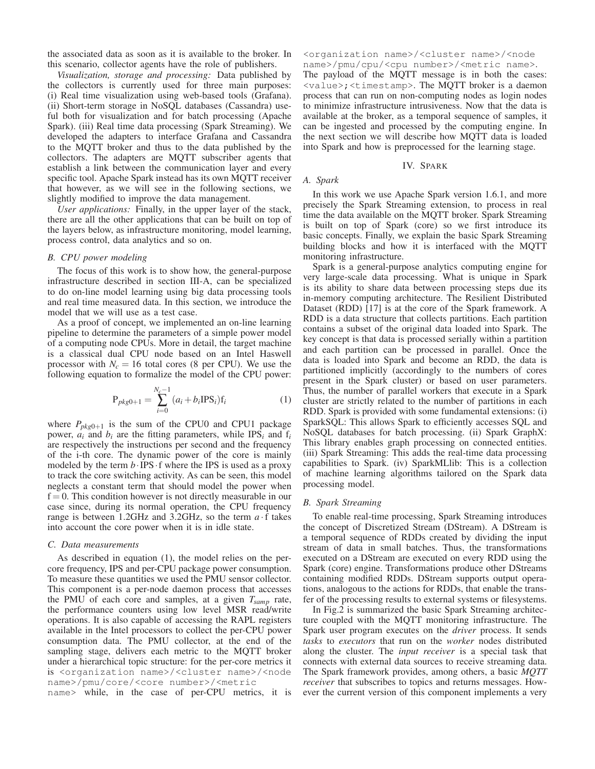the associated data as soon as it is available to the broker. In this scenario, collector agents have the role of publishers.

*Visualization, storage and processing:* Data published by the collectors is currently used for three main purposes: (i) Real time visualization using web-based tools (Grafana). (ii) Short-term storage in NoSQL databases (Cassandra) useful both for visualization and for batch processing (Apache Spark). (iii) Real time data processing (Spark Streaming). We developed the adapters to interface Grafana and Cassandra to the MQTT broker and thus to the data published by the collectors. The adapters are MQTT subscriber agents that establish a link between the communication layer and every specific tool. Apache Spark instead has its own MQTT receiver that however, as we will see in the following sections, we slightly modified to improve the data management.

*User applications:* Finally, in the upper layer of the stack, there are all the other applications that can be built on top of the layers below, as infrastructure monitoring, model learning, process control, data analytics and so on.

#### *B. CPU power modeling*

The focus of this work is to show how, the general-purpose infrastructure described in section III-A, can be specialized to do on-line model learning using big data processing tools and real time measured data. In this section, we introduce the model that we will use as a test case.

As a proof of concept, we implemented an on-line learning pipeline to determine the parameters of a simple power model of a computing node CPUs. More in detail, the target machine is a classical dual CPU node based on an Intel Haswell processor with  $N_c = 16$  total cores (8 per CPU). We use the following equation to formalize the model of the CPU power:

$$
P_{pkg0+1} = \sum_{i=0}^{N_c-1} (a_i + b_i IPS_i) f_i
$$
 (1)

where  $P_{pkg0+1}$  is the sum of the CPU0 and CPU1 package power,  $a_i$  and  $b_i$  are the fitting parameters, while IPS<sub>i</sub> and  $f_i$ are respectively the instructions per second and the frequency of the i-th core. The dynamic power of the core is mainly modeled by the term  $b \cdot IPS \cdot f$  where the IPS is used as a proxy to track the core switching activity. As can be seen, this model neglects a constant term that should model the power when  $f = 0$ . This condition however is not directly measurable in our case since, during its normal operation, the CPU frequency range is between 1.2GHz and 3.2GHz, so the term  $a \cdot f$  takes into account the core power when it is in idle state.

#### *C. Data measurements*

As described in equation (1), the model relies on the percore frequency, IPS and per-CPU package power consumption. To measure these quantities we used the PMU sensor collector. This component is a per-node daemon process that accesses the PMU of each core and samples, at a given *Tsamp* rate, the performance counters using low level MSR read/write operations. It is also capable of accessing the RAPL registers available in the Intel processors to collect the per-CPU power consumption data. The PMU collector, at the end of the sampling stage, delivers each metric to the MQTT broker under a hierarchical topic structure: for the per-core metrics it is <organization name>/<cluster name>/<node name>/pmu/core/<core number>/<metric

name> while, in the case of per-CPU metrics, it is

<organization name>/<cluster name>/<node name>/pmu/cpu/<cpu number>/<metric name>.

The payload of the MQTT message is in both the cases: <value>;<timestamp>. The MQTT broker is a daemon process that can run on non-computing nodes as login nodes to minimize infrastructure intrusiveness. Now that the data is available at the broker, as a temporal sequence of samples, it can be ingested and processed by the computing engine. In the next section we will describe how MQTT data is loaded into Spark and how is preprocessed for the learning stage.

#### IV. SPARK

#### *A. Spark*

In this work we use Apache Spark version 1.6.1, and more precisely the Spark Streaming extension, to process in real time the data available on the MQTT broker. Spark Streaming is built on top of Spark (core) so we first introduce its basic concepts. Finally, we explain the basic Spark Streaming building blocks and how it is interfaced with the MQTT monitoring infrastructure.

Spark is a general-purpose analytics computing engine for very large-scale data processing. What is unique in Spark is its ability to share data between processing steps due its in-memory computing architecture. The Resilient Distributed Dataset (RDD) [17] is at the core of the Spark framework. A RDD is a data structure that collects partitions. Each partition contains a subset of the original data loaded into Spark. The key concept is that data is processed serially within a partition and each partition can be processed in parallel. Once the data is loaded into Spark and become an RDD, the data is partitioned implicitly (accordingly to the numbers of cores present in the Spark cluster) or based on user parameters. Thus, the number of parallel workers that execute in a Spark cluster are strictly related to the number of partitions in each RDD. Spark is provided with some fundamental extensions: (i) SparkSQL: This allows Spark to efficiently accesses SQL and NoSQL databases for batch processing. (ii) Spark GraphX: This library enables graph processing on connected entities. (iii) Spark Streaming: This adds the real-time data processing capabilities to Spark. (iv) SparkMLlib: This is a collection of machine learning algorithms tailored on the Spark data processing model.

#### *B. Spark Streaming*

To enable real-time processing, Spark Streaming introduces the concept of Discretized Stream (DStream). A DStream is a temporal sequence of RDDs created by dividing the input stream of data in small batches. Thus, the transformations executed on a DStream are executed on every RDD using the Spark (core) engine. Transformations produce other DStreams containing modified RDDs. DStream supports output operations, analogous to the actions for RDDs, that enable the transfer of the processing results to external systems or filesystems.

In Fig.2 is summarized the basic Spark Streaming architecture coupled with the MQTT monitoring infrastructure. The Spark user program executes on the *driver* process. It sends *tasks* to *executors* that run on the *worker* nodes distributed along the cluster. The *input receiver* is a special task that connects with external data sources to receive streaming data. The Spark framework provides, among others, a basic *MQTT receiver* that subscribes to topics and returns messages. However the current version of this component implements a very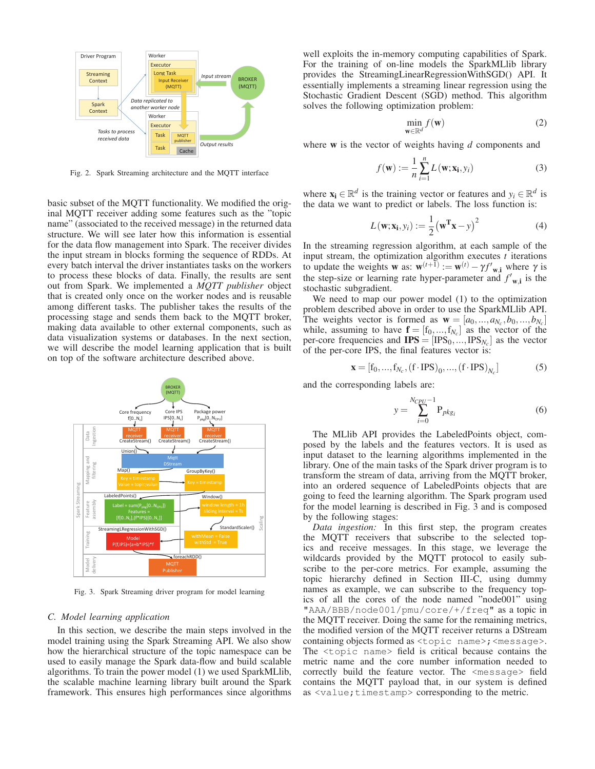

Fig. 2. Spark Streaming architecture and the MQTT interface

basic subset of the MQTT functionality. We modified the original MQTT receiver adding some features such as the "topic name" (associated to the received message) in the returned data structure. We will see later how this information is essential for the data flow management into Spark. The receiver divides the input stream in blocks forming the sequence of RDDs. At every batch interval the driver instantiates tasks on the workers to process these blocks of data. Finally, the results are sent out from Spark. We implemented a *MQTT publisher* object that is created only once on the worker nodes and is reusable among different tasks. The publisher takes the results of the processing stage and sends them back to the MQTT broker, making data available to other external components, such as data visualization systems or databases. In the next section, we will describe the model learning application that is built on top of the software architecture described above.



Fig. 3. Spark Streaming driver program for model learning

#### *C. Model learning application*

In this section, we describe the main steps involved in the model training using the Spark Streaming API. We also show how the hierarchical structure of the topic namespace can be used to easily manage the Spark data-flow and build scalable algorithms. To train the power model (1) we used SparkMLlib, the scalable machine learning library built around the Spark framework. This ensures high performances since algorithms

well exploits the in-memory computing capabilities of Spark. For the training of on-line models the SparkMLlib library provides the StreamingLinearRegressionWithSGD() API. It essentially implements a streaming linear regression using the Stochastic Gradient Descent (SGD) method. This algorithm solves the following optimization problem:

$$
\min_{\mathbf{w} \in \mathbb{R}^d} f(\mathbf{w}) \tag{2}
$$

where w is the vector of weights having *d* components and

$$
f(\mathbf{w}) := \frac{1}{n} \sum_{i=1}^{n} L(\mathbf{w}; \mathbf{x_i}, y_i)
$$
 (3)

where  $\mathbf{x}_i \in \mathbb{R}^d$  is the training vector or features and  $y_i \in \mathbb{R}^d$  is the data we want to predict or labels. The loss function is:

$$
L(\mathbf{w}; \mathbf{x_i}, y_i) := \frac{1}{2} (\mathbf{w}^{\mathrm{T}} \mathbf{x} - y)^2
$$
 (4)

In the streaming regression algorithm, at each sample of the input stream, the optimization algorithm executes *t* iterations to update the weights **w** as:  $\mathbf{w}^{(t+1)} := \mathbf{w}^{(t)} - \gamma f'_{\mathbf{w},i}$  where  $\gamma$  is the step-size or learning rate hyper-parameter and  $f'_{\mathbf{w},i}$  is the stochastic subgradient.

We need to map our power model (1) to the optimization problem described above in order to use the SparkMLlib API. The weights vector is formed as  $\mathbf{w} = [a_0, ..., a_{N_c}, b_0, ..., b_{N_c}]$ while, assuming to have  $\mathbf{f} = [f_0, ..., f_{N_c}]$  as the vector of the per-core frequencies and  $IPS = [IPS_0, ..., IPS_{N_c}]$  as the vector of the per-core IPS, the final features vector is:

$$
\mathbf{x} = [f_0, ..., f_{N_c}, (f \cdot IPS)_0, ..., (f \cdot IPS)_{N_c}]
$$
 (5)

and the corresponding labels are:

$$
y = \sum_{i=0}^{N_{CPU}-1} P_{pkg_i}
$$
 (6)

The MLlib API provides the LabeledPoints object, composed by the labels and the features vectors. It is used as input dataset to the learning algorithms implemented in the library. One of the main tasks of the Spark driver program is to transform the stream of data, arriving from the MQTT broker, into an ordered sequence of LabeledPoints objects that are going to feed the learning algorithm. The Spark program used for the model learning is described in Fig. 3 and is composed by the following stages:

*Data ingestion:* In this first step, the program creates the MQTT receivers that subscribe to the selected topics and receive messages. In this stage, we leverage the wildcards provided by the MQTT protocol to easily subscribe to the per-core metrics. For example, assuming the topic hierarchy defined in Section III-C, using dummy names as example, we can subscribe to the frequency topics of all the cores of the node named "node001" using "AAA/BBB/node001/pmu/core/+/freq" as a topic in the MQTT receiver. Doing the same for the remaining metrics, the modified version of the MQTT receiver returns a DStream containing objects formed as <topic name>; <message>. The <topic name> field is critical because contains the metric name and the core number information needed to correctly build the feature vector. The <message> field contains the MQTT payload that, in our system is defined as <value;timestamp> corresponding to the metric.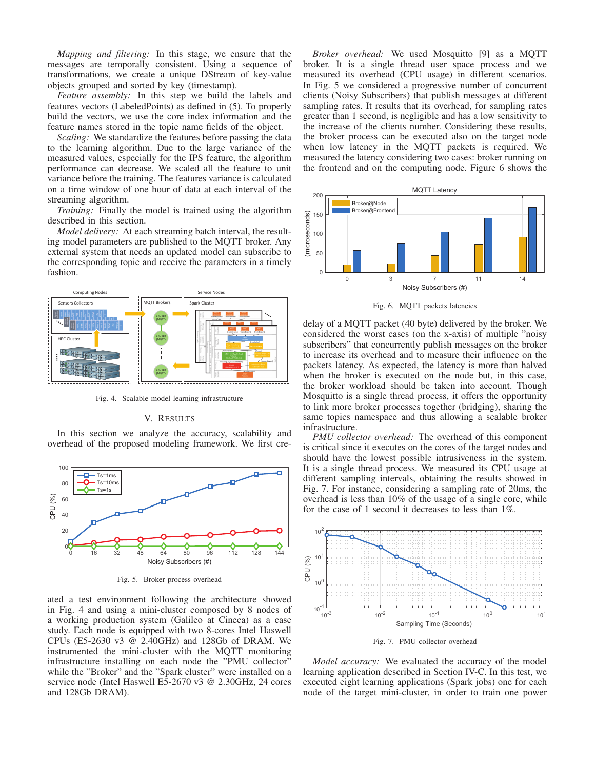*Mapping and filtering:* In this stage, we ensure that the messages are temporally consistent. Using a sequence of transformations, we create a unique DStream of key-value objects grouped and sorted by key (timestamp).

*Feature assembly:* In this step we build the labels and features vectors (LabeledPoints) as defined in (5). To properly build the vectors, we use the core index information and the feature names stored in the topic name fields of the object.

*Scaling:* We standardize the features before passing the data to the learning algorithm. Due to the large variance of the measured values, especially for the IPS feature, the algorithm performance can decrease. We scaled all the feature to unit variance before the training. The features variance is calculated on a time window of one hour of data at each interval of the streaming algorithm.

*Training:* Finally the model is trained using the algorithm described in this section.

*Model delivery:* At each streaming batch interval, the resulting model parameters are published to the MQTT broker. Any external system that needs an updated model can subscribe to the corresponding topic and receive the parameters in a timely fashion.



Fig. 4. Scalable model learning infrastructure

#### V. RESULTS

In this section we analyze the accuracy, scalability and overhead of the proposed modeling framework. We first cre-



Fig. 5. Broker process overhead

ated a test environment following the architecture showed in Fig. 4 and using a mini-cluster composed by 8 nodes of a working production system (Galileo at Cineca) as a case study. Each node is equipped with two 8-cores Intel Haswell CPUs (E5-2630 v3 @ 2.40GHz) and 128Gb of DRAM. We instrumented the mini-cluster with the MQTT monitoring infrastructure installing on each node the "PMU collector" while the "Broker" and the "Spark cluster" were installed on a service node (Intel Haswell E5-2670 v3 @ 2.30GHz, 24 cores and 128Gb DRAM).

*Broker overhead:* We used Mosquitto [9] as a MQTT broker. It is a single thread user space process and we measured its overhead (CPU usage) in different scenarios. In Fig. 5 we considered a progressive number of concurrent clients (Noisy Subscribers) that publish messages at different sampling rates. It results that its overhead, for sampling rates greater than 1 second, is negligible and has a low sensitivity to the increase of the clients number. Considering these results, the broker process can be executed also on the target node when low latency in the MQTT packets is required. We measured the latency considering two cases: broker running on the frontend and on the computing node. Figure 6 shows the



Fig. 6. MQTT packets latencies

delay of a MQTT packet (40 byte) delivered by the broker. We considered the worst cases (on the x-axis) of multiple "noisy subscribers" that concurrently publish messages on the broker to increase its overhead and to measure their influence on the packets latency. As expected, the latency is more than halved when the broker is executed on the node but, in this case, the broker workload should be taken into account. Though Mosquitto is a single thread process, it offers the opportunity to link more broker processes together (bridging), sharing the same topics namespace and thus allowing a scalable broker infrastructure.

*PMU collector overhead:* The overhead of this component is critical since it executes on the cores of the target nodes and should have the lowest possible intrusiveness in the system. It is a single thread process. We measured its CPU usage at different sampling intervals, obtaining the results showed in Fig. 7. For instance, considering a sampling rate of 20ms, the overhead is less than 10% of the usage of a single core, while for the case of 1 second it decreases to less than 1%.



Fig. 7. PMU collector overhead

*Model accuracy:* We evaluated the accuracy of the model learning application described in Section IV-C. In this test, we executed eight learning applications (Spark jobs) one for each node of the target mini-cluster, in order to train one power